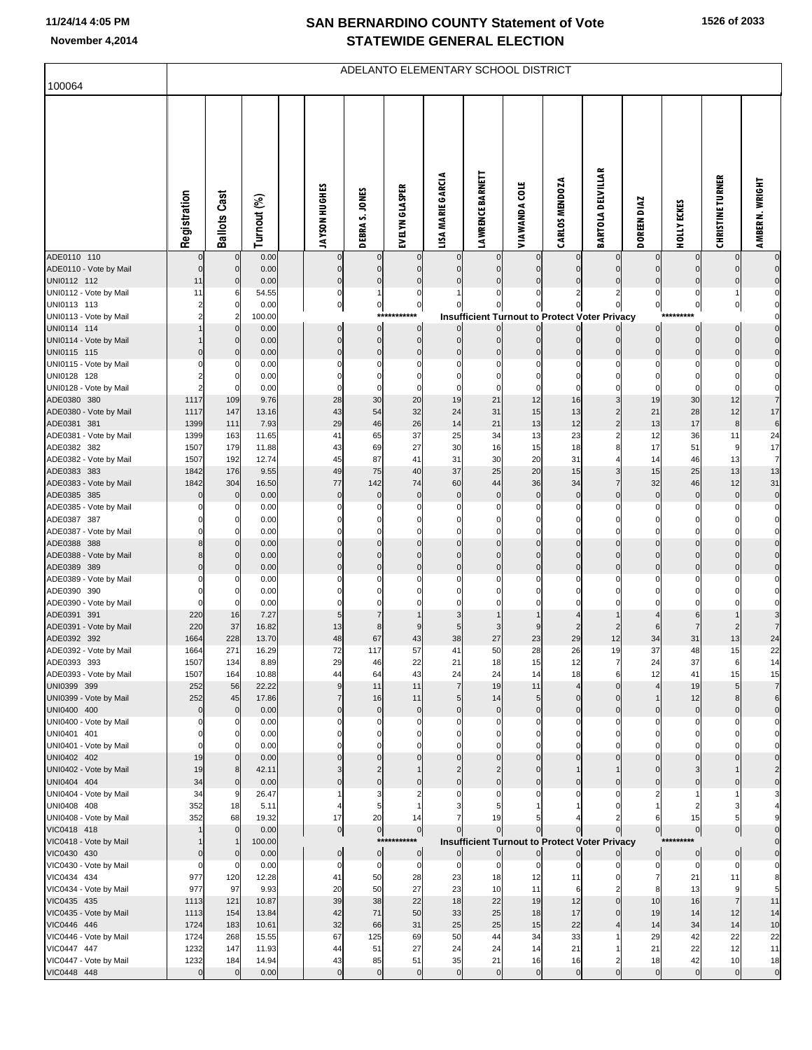## **SAN BERNARDINO COUNTY Statement of Vote November 4,2014 STATEWIDE GENERAL ELECTION**

**1526 of 2033**

|                                       |                   |                          |                |                            |                            |                            |                      | ADELANTO ELEMENTARY SCHOOL DISTRICT                  |                      |                            |                          |                              |                            |                                  |                               |
|---------------------------------------|-------------------|--------------------------|----------------|----------------------------|----------------------------|----------------------------|----------------------|------------------------------------------------------|----------------------|----------------------------|--------------------------|------------------------------|----------------------------|----------------------------------|-------------------------------|
| 100064                                |                   |                          |                |                            |                            |                            |                      |                                                      |                      |                            |                          |                              |                            |                                  |                               |
|                                       | Registration      | <b>Ballots Cast</b>      | Turnout (%)    | JAYSON HUGHES              | DEBRA S. JONES             | EVELYN GLASPER             | LISA MARIE GARCIA    | <b>LAWRENCE BARNETT</b>                              | <b>VIAWANDA COLE</b> | CARLOS MENDOZA             | <b>BARTOLA DELVILLAR</b> | <b>DIAZ</b><br><b>DOREEN</b> | HOLLY ECKES                | <b>CHRISTINE TURNER</b>          | AMBER N. WRIGHT               |
| ADE0110 110                           |                   | 0                        | 0.00           |                            |                            |                            | $\mathbf{0}$         | $\mathbf 0$                                          |                      |                            |                          | 0                            |                            | 0                                | $\mathbf 0$                   |
| ADE0110 - Vote by Mail<br>UNI0112 112 | $\mathbf 0$<br>11 | $\mathbf{0}$<br>$\Omega$ | 0.00<br>0.00   | $\Omega$<br>$\mathbf 0$    | $\mathbf 0$                |                            |                      | $\mathbf 0$<br>$\mathbf 0$                           |                      |                            |                          | 0<br>0                       | 0                          | $\mathbf 0$<br>0                 | $\mathbf 0$<br>$\mathbf 0$    |
| UNI0112 - Vote by Mail                | 11                |                          | 54.55          | $\mathbf 0$                |                            | C                          |                      |                                                      |                      |                            | 2                        | 0                            | 0                          | 1                                | 0                             |
| UNI0113 113                           |                   |                          | 0.00           | $\pmb{0}$                  | 0                          | $\pmb{0}$                  |                      | 0                                                    |                      | 0                          | 0                        | 0                            | $\pmb{0}$                  | $\overline{0}$                   | $\mathbf 0$                   |
| UNI0113 - Vote by Mail                |                   |                          | 100.00         |                            | $***$                      | *****                      |                      | <b>Insufficient Turnout to Protect Voter Privacy</b> |                      |                            |                          |                              |                            |                                  | $\mathbf 0$                   |
| UNI0114 114<br>UNI0114 - Vote by Mail |                   | 0                        | 0.00<br>0.00   | $\overline{0}$<br>$\Omega$ | $\mathbf 0$<br>$\mathbf 0$ | $\mathbf 0$<br>$\mathbf 0$ | $\Omega$             | $\overline{0}$<br>$\overline{0}$                     |                      | $\overline{0}$<br>$\Omega$ | 0                        | 0<br>$\mathbf 0$             | $\mathbf 0$<br>$\mathbf 0$ | $\overline{0}$<br>$\overline{0}$ | $\mathbf 0$<br>$\mathbf 0$    |
| UNI0115 115                           |                   |                          | 0.00           | 0                          | $\mathbf 0$                | $\mathbf 0$                | 0                    | $\mathbf 0$                                          |                      |                            | 0                        | 0                            | 0                          | 0                                | $\mathbf 0$                   |
| UNI0115 - Vote by Mail                |                   |                          | 0.00           | C                          | 0                          | C                          | 0                    | 0                                                    |                      | $\Omega$                   | ŋ                        | 0                            | 0                          | 0                                | $\mathbf 0$                   |
| UNI0128 128                           |                   |                          | 0.00           |                            | $\Omega$                   |                            |                      |                                                      |                      |                            |                          | 0                            | 0                          | 0                                | $\mathbf 0$                   |
| UNI0128 - Vote by Mail<br>ADE0380 380 | 1117              | $\Omega$<br>109          | 0.00<br>9.76   | $\mathsf{C}$<br>28         | 0<br>30                    | C<br>20                    | $\Omega$<br>19       | $\Omega$<br>21                                       | $\Omega$<br>12       | $\Omega$<br>16             | 3                        | 0<br>19                      | $\Omega$<br>30             | 0<br>12                          | $\mathbf 0$<br>$\overline{7}$ |
| ADE0380 - Vote by Mail                | 1117              | 147                      | 13.16          | 43                         | 54                         | 32                         | 24                   | 31                                                   | 15                   | 13                         | $\overline{c}$           | 21                           | 28                         | 12                               | 17                            |
| ADE0381 381                           | 1399              | 111                      | 7.93           | 29                         | 46                         | 26                         | 14                   | 21                                                   | 13                   | 12                         | $\overline{2}$           | 13                           | 17                         | 8                                | 6                             |
| ADE0381 - Vote by Mail                | 1399              | 163                      | 11.65          | 41                         | 65                         | 37                         | 25                   | 34                                                   | 13                   | 23                         | $\overline{c}$           | 12                           | 36                         | 11                               | 24                            |
| ADE0382 382                           | 1507              | 179                      | 11.88          | 43                         | 69                         | 27                         | 30                   | 16                                                   | 15                   | 18                         | 8                        | 17                           | 51                         | 9                                | 17                            |
| ADE0382 - Vote by Mail<br>ADE0383 383 | 1507<br>1842      | 192<br>176               | 12.74<br>9.55  | 45<br>49                   | 87<br>75                   | 41<br>40                   | 31<br>37             | 30<br>25                                             | 20<br>20             | 31<br>15                   | 3                        | 14<br>15                     | 46<br>25                   | 13<br>13                         | $\overline{7}$<br>13          |
| ADE0383 - Vote by Mail                | 1842              | 304                      | 16.50          | 77                         | 142                        | 74                         | 60                   | 44                                                   | 36                   | 34                         |                          | 32                           | 46                         | 12                               | 31                            |
| ADE0385 385                           |                   | $\mathbf 0$              | 0.00           | $\mathbf 0$                | $\mathbf 0$                | $\mathbf 0$                | $\mathbf 0$          | $\pmb{0}$                                            | $\mathbf 0$          | $\pmb{0}$                  | 0                        | $\pmb{0}$                    | $\mathbf 0$                | $\bf{0}$                         | $\mathbf 0$                   |
| ADE0385 - Vote by Mail                |                   |                          | 0.00           | C                          | 0                          |                            |                      | $\Omega$                                             |                      | 0                          |                          | 0                            |                            | 0                                | 0                             |
| ADE0387 387                           |                   | 0                        | 0.00           |                            | 0                          |                            |                      |                                                      |                      |                            |                          |                              |                            |                                  | 0                             |
| ADE0387 - Vote by Mail<br>ADE0388 388 |                   | O                        | 0.00<br>0.00   | $\Omega$                   | $\Omega$<br>0              |                            |                      | $\mathbf{0}$                                         |                      |                            |                          | 0<br>0                       |                            | 0<br>$\Omega$                    | 0<br>$\mathbf 0$              |
| ADE0388 - Vote by Mail                | 8                 |                          | 0.00           | $\mathcal{C}$              | $\Omega$                   | $\mathsf{C}$               | $\Omega$             | $\pmb{0}$                                            |                      | $\Omega$                   | 0                        | 0                            | 0                          | $\Omega$                         | $\mathbf 0$                   |
| ADE0389 389                           | $\mathbf 0$       | $\Omega$                 | 0.00           | 0                          | $\mathbf 0$                | $\mathsf{C}$               | $\mathbf 0$          | $\pmb{0}$                                            |                      | $\mathbf 0$                | 0                        | 0                            | 0                          | $\mathbf 0$                      | $\overline{0}$                |
| ADE0389 - Vote by Mail                |                   |                          | 0.00           |                            | 0                          |                            |                      |                                                      |                      |                            |                          | 0                            |                            | 0                                | $\mathbf 0$                   |
| ADE0390 390                           |                   |                          | 0.00           |                            |                            |                            |                      |                                                      |                      |                            |                          |                              |                            |                                  | $\mathbf 0$                   |
| ADE0390 - Vote by Mail<br>ADE0391 391 | $\Omega$<br>220   | 0<br>16                  | 0.00<br>7.27   | $\Omega$                   |                            |                            |                      |                                                      |                      |                            |                          |                              | 6                          |                                  | $\mathbf 0$<br>3              |
| ADE0391 - Vote by Mail                | 220               | 37                       | 16.82          | 13                         | 8                          |                            |                      | 3                                                    |                      |                            |                          | 6                            |                            |                                  | $\overline{7}$                |
| ADE0392 392                           | 1664              | 228                      | 13.70          | 48                         | 67                         | 43                         | 38                   | 27                                                   | 23                   | 29                         | 12                       | 34                           | 31                         | 13                               | 24                            |
| ADE0392 - Vote by Mail                | 1664              | 271                      | 16.29          | 72                         | 117                        | 57                         | 41                   | 50                                                   | 28                   | 26                         | 19                       | 37                           | 48                         | 15                               | 22                            |
| ADE0393 393                           | 1507              | 134                      | 8.89           | 29                         | 46                         | 22                         | 21                   | 18                                                   | 15                   | 12                         | 7                        | 24                           | 37                         | 6                                | 14                            |
| ADE0393 - Vote by Mail<br>UNI0399 399 | 1507<br>252       | 164<br>56                | 10.88<br>22.22 | 44<br>9                    | 64<br>11                   | 43<br>11                   | 24<br>$\overline{7}$ | 24<br>19                                             | 14<br>11             | 18<br>$\overline{4}$       | 6<br>$\Omega$            | 12<br>$\overline{4}$         | 41<br>19                   | 15<br>5 <sub>5</sub>             | 15<br>$\overline{7}$          |
| UNI0399 - Vote by Mail                | 252               | 45                       | 17.86          | $\overline{7}$             | 16                         | 11                         | 5 <sub>l</sub>       | 14                                                   | 5                    | $\overline{0}$             | $\mathbf 0$              | $\mathbf{1}$                 | 12                         | 8 <sup>1</sup>                   | 6                             |
| UNI0400 400                           | $\pmb{0}$         | $\mathbf 0$              | 0.00           | $\Omega$                   | $\pmb{0}$                  | $\mathbf 0$                | $\Omega$             | $\overline{0}$                                       | $\Omega$             | $\Omega$                   | $\Omega$                 | $\pmb{0}$                    | $\mathbf 0$                | $\mathbf 0$                      | $\overline{0}$                |
| UNI0400 - Vote by Mail                | 0                 | $\Omega$                 | 0.00           | C                          | 0                          | C                          | 0                    | 0                                                    |                      | $\Omega$                   | $\Omega$                 | 0                            | 0                          | 0                                | 0                             |
| UNI0401 401                           | $\Omega$          | 0<br>O                   | 0.00<br>0.00   | $\Omega$<br>$\Omega$       | $\mathbf 0$<br>$\Omega$    |                            |                      | 0<br>$\Omega$                                        |                      |                            |                          | 0<br>0                       |                            | $\Omega$                         | $\Omega$                      |
| UNI0401 - Vote by Mail<br>UNI0402 402 | 19                | $\Omega$                 | 0.00           |                            | $\mathbf 0$                |                            |                      | $\mathbf 0$                                          |                      |                            |                          | 0                            | $\Omega$                   | $\Omega$                         | $\mathbf 0$                   |
| UNI0402 - Vote by Mail                | 19                |                          | 42.11          |                            | $\overline{c}$             |                            |                      |                                                      |                      |                            |                          | $\mathbf 0$                  | 3                          |                                  | $\overline{a}$                |
| UNI0404 404                           | 34                | 0                        | 0.00           | $\mathcal{C}$              | $\mathbf 0$                | C                          | $\Omega$             | $\mathbf 0$                                          |                      |                            | 0                        | 0                            | 0                          | $\mathbf 0$                      | $\mathbf 0$                   |
| UNI0404 - Vote by Mail                | 34                | 9                        | 26.47          |                            | 3                          |                            |                      | $\Omega$                                             |                      |                            | $\Omega$                 | $\overline{2}$               |                            |                                  |                               |
| UNI0408 408<br>UNI0408 - Vote by Mail | 352<br>352        | 18<br>68                 | 5.11<br>19.32  | 17                         | 5<br>20                    | 14                         |                      | 19                                                   |                      |                            |                          | 6                            | $\overline{2}$<br>15       | 3<br>5                           | g                             |
| VIC0418 418                           |                   | $\mathbf{0}$             | 0.00           | $\pmb{0}$                  | $\overline{0}$             | $\circ$                    | $\overline{0}$       | $\circ$                                              | $\mathbf 0$          | $\mathbf 0$                |                          | $\overline{0}$               | $\pmb{0}$                  | $\overline{0}$                   | $\mathbf 0$                   |
| VIC0418 - Vote by Mail                |                   |                          | 100.00         |                            | $***$                      | *******                    |                      | <b>Insufficient Turnout to Protect Voter Privacy</b> |                      |                            |                          |                              |                            |                                  | $\mathbf 0$                   |
| VIC0430 430                           |                   | 0                        | 0.00           | $\pmb{0}$                  | $\pmb{0}$                  | $\mathbf 0$                | $\overline{0}$       | $\circ$                                              | 0                    | $\overline{0}$             |                          | $\overline{0}$               | $\mathbf 0$                | $\overline{0}$                   | $\overline{0}$                |
| VIC0430 - Vote by Mail                | 0                 | $\mathbf 0$              | 0.00           | $\mathbf 0$                | $\mathbf 0$                | $\mathbf 0$                | $\mathbf 0$          | $\mathbf 0$                                          | 0                    | $\mathbf 0$                | O                        | $\mathbf{0}$                 | 0                          | 0                                | $\mathbf 0$                   |
| VIC0434 434<br>VIC0434 - Vote by Mail | 977<br>977        | 120<br>97                | 12.28<br>9.93  | 41<br>20                   | 50<br>50                   | 28<br>27                   | 23<br>23             | 18<br>10                                             | 12<br>11             | 11<br>6                    |                          | 7<br>8                       | 21<br>13                   | 11<br>9                          | 8<br>5                        |
| VIC0435 435                           | 1113              | 121                      | 10.87          | 39                         | 38                         | 22                         | 18                   | 22                                                   | 19                   | 12                         | $\Omega$                 | 10                           | 16                         | $\overline{7}$                   | 11                            |
| VIC0435 - Vote by Mail                | 1113              | 154                      | 13.84          | 42                         | 71                         | 50                         | 33                   | 25                                                   | 18                   | 17                         | $\Omega$                 | 19                           | 14                         | 12                               | 14                            |
| VIC0446 446                           | 1724              | 183                      | 10.61          | 32                         | 66                         | 31                         | 25                   | 25                                                   | 15                   | 22                         |                          | 14                           | 34                         | 14                               | 10                            |
| VIC0446 - Vote by Mail                | 1724              | 268                      | 15.55          | 67                         | 125                        | 69                         | 50                   | 44                                                   | 34                   | 33                         |                          | 29                           | 42                         | 22                               | 22                            |
| VIC0447 447<br>VIC0447 - Vote by Mail | 1232<br>1232      | 147<br>184               | 11.93<br>14.94 | 44<br>43                   | 51<br>85                   | 27<br>51                   | 24<br>35             | 24<br>21                                             | 14<br>16             | 21<br>16                   | 2                        | 21<br>18                     | 22<br>42                   | 12<br>10                         | 11<br>18                      |
| VIC0448 448                           | $\pmb{0}$         | $\mathbf 0$              | 0.00           | $\mathbf{0}$               | $\mathbf 0$                | $\mathbf 0$                | $\circ$              | $\overline{0}$                                       | $\mathbf 0$          | $\overline{0}$             | $\Omega$                 | $\overline{0}$               | $\mathbf 0$                | $\overline{0}$                   | $\mathbf 0$                   |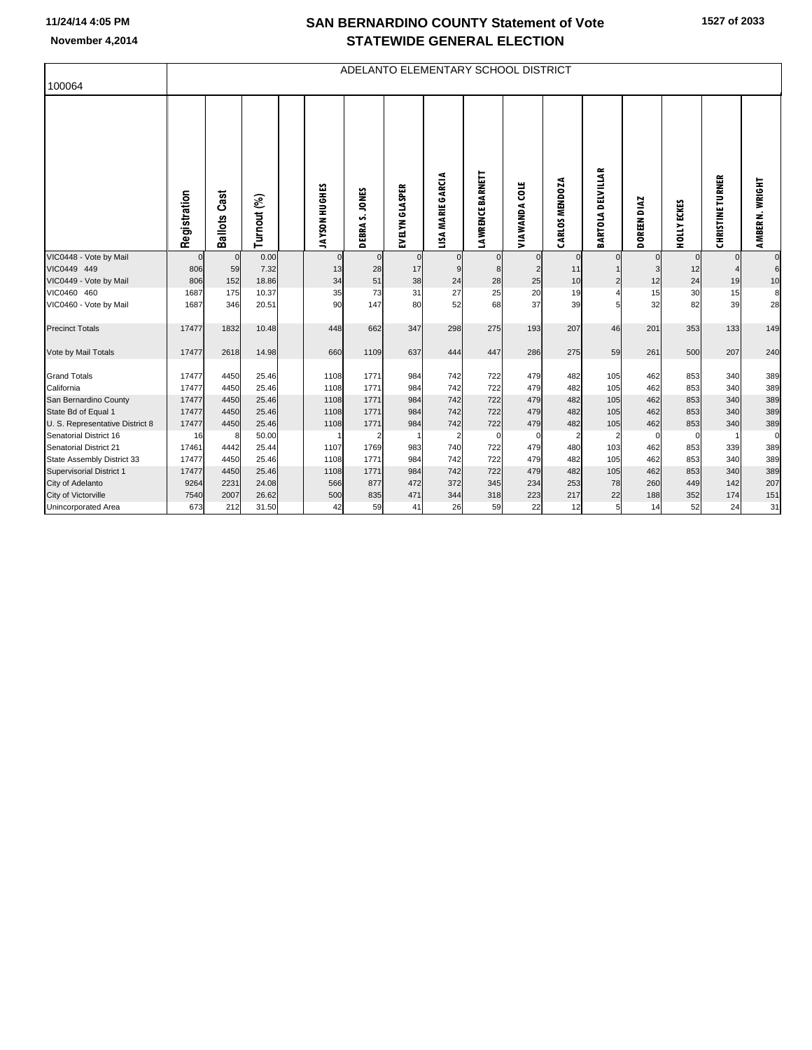## **SAN BERNARDINO COUNTY Statement of Vote**

| <b>OAN DERNARDING COUNTE STATEMENT VOID</b> |
|---------------------------------------------|
| <b>STATEWIDE GENERAL ELECTION</b>           |

|                                       |              |                 |                |               |                            |                |                   |                         | ADELANTO ELEMENTARY SCHOOL DISTRICT |                |                         |              |                    |                         |                                    |
|---------------------------------------|--------------|-----------------|----------------|---------------|----------------------------|----------------|-------------------|-------------------------|-------------------------------------|----------------|-------------------------|--------------|--------------------|-------------------------|------------------------------------|
| 100064                                |              |                 |                |               |                            |                |                   |                         |                                     |                |                         |              |                    |                         |                                    |
|                                       | Registration | Cast<br>Ballots | Turnout (%)    | JAYSON HUGHES | <b>JONES</b><br>n<br>DEBRA | EVELYN GLASPER | LISA MARIE GARCIA | <b>LAWRENCE BARNETT</b> | ă<br>VIAWANDA                       | CARLOS MENDOZA | DELVILLAR<br>BARTOLA    | DOREEN DIAZ  | <b>HOLLY ECKES</b> | <b>CHRISTINE TURNER</b> | <b>WRIGHT</b><br>₹<br><b>AMBER</b> |
| VIC0448 - Vote by Mail                | $\mathbf 0$  | $\Omega$        | 0.00           | $\mathbf 0$   | $\mathbf{0}$               | $\mathbf 0$    | $\overline{0}$    | $\overline{0}$          | $\mathbf{0}$                        | $\overline{0}$ | $\Omega$                | $\mathbf{0}$ |                    | $\mathbf{0}$            | $\mathbf 0$                        |
| VIC0449 449                           | 806          | 59              | 7.32           | 13            | 28                         | 17             | 9                 | $\mathbf{8}$            | $\overline{2}$                      | 11             |                         | 3            | 12                 |                         | 6                                  |
| VIC0449 - Vote by Mail                | 806          | 152             | 18.86          | 34            | 51                         | 38             | 24                | 28                      | 25                                  | 10             | $\overline{\mathbf{c}}$ | 12           | 24                 | 19                      | 10                                 |
| VIC0460 460<br>VIC0460 - Vote by Mail | 1687<br>1687 | 175<br>346      | 10.37<br>20.51 | 35<br>90      | 73<br>147                  | 31<br>80       | 27<br>52          | 25<br>68                | 20<br>37                            | 19<br>39       |                         | 15<br>32     | 30<br>82           | 15<br>39                | 8<br>28                            |
| <b>Precinct Totals</b>                | 17477        | 1832            | 10.48          | 448           | 662                        | 347            | 298               | 275                     | 193                                 | 207            | 46                      | 201          | 353                | 133                     | 149                                |
| Vote by Mail Totals                   | 17477        | 2618            | 14.98          | 660           | 1109                       | 637            | 444               | 447                     | 286                                 | 275            | 59                      | 261          | 500                | 207                     | 240                                |
| <b>Grand Totals</b>                   | 17477        | 4450            | 25.46          | 1108          | 1771                       | 984            | 742               | 722                     | 479                                 | 482            | 105                     | 462          | 853                | 340                     | 389                                |
| California                            | 17477        | 4450            | 25.46          | 1108          | 1771                       | 984            | 742               | 722                     | 479                                 | 482            | 105                     | 462          | 853                | 340                     | 389                                |
| San Bernardino County                 | 17477        | 4450            | 25.46          | 1108          | 1771                       | 984            | 742               | 722                     | 479                                 | 482            | 105                     | 462          | 853                | 340                     | 389                                |
| State Bd of Equal 1                   | 17477        | 4450            | 25.46          | 1108          | 1771                       | 984            | 742               | 722                     | 479                                 | 482            | 105                     | 462          | 853                | 340                     | 389                                |
| U. S. Representative District 8       | 17477        | 4450            | 25.46          | 1108          | 1771                       | 984            | 742               | 722                     | 479                                 | 482            | 105                     | 462          | 853                | 340                     | 389                                |
| Senatorial District 16                | 16           | 8               | 50.00          |               | $\overline{2}$             | -1             | 2                 | $\mathbf 0$             |                                     | $\overline{2}$ | $\overline{2}$          | $\mathbf 0$  | 0                  |                         | $\mathbf 0$                        |
| Senatorial District 21                | 17461        | 4442            | 25.44          | 1107          | 1769                       | 983            | 740               | 722                     | 479                                 | 480            | 103                     | 462          | 853                | 339                     | 389                                |
| State Assembly District 33            | 17477        | 4450            | 25.46          | 1108          | 1771                       | 984            | 742               | 722                     | 479                                 | 482            | 105                     | 462          | 853                | 340                     | 389                                |
| Supervisorial District 1              | 17477        | 4450            | 25.46          | 1108          | 1771                       | 984            | 742               | 722                     | 479                                 | 482            | 105                     | 462          | 853                | 340                     | 389                                |
| City of Adelanto                      | 9264         | 2231            | 24.08          | 566           | 877                        | 472            | 372               | 345                     | 234                                 | 253            | 78                      | 260          | 449                | 142                     | 207                                |
| City of Victorville                   | 7540         | 2007            | 26.62          | 500           | 835                        | 471            | 344               | 318                     | 223                                 | 217            | 22                      | 188          | 352                | 174                     | 151                                |
| Unincorporated Area                   | 673          | 212             | 31.50          | 42            | 59                         | 41             | 26                | 59                      | 22                                  | 12             | 5 <sub>l</sub>          | 14           | 52                 | 24                      | 31                                 |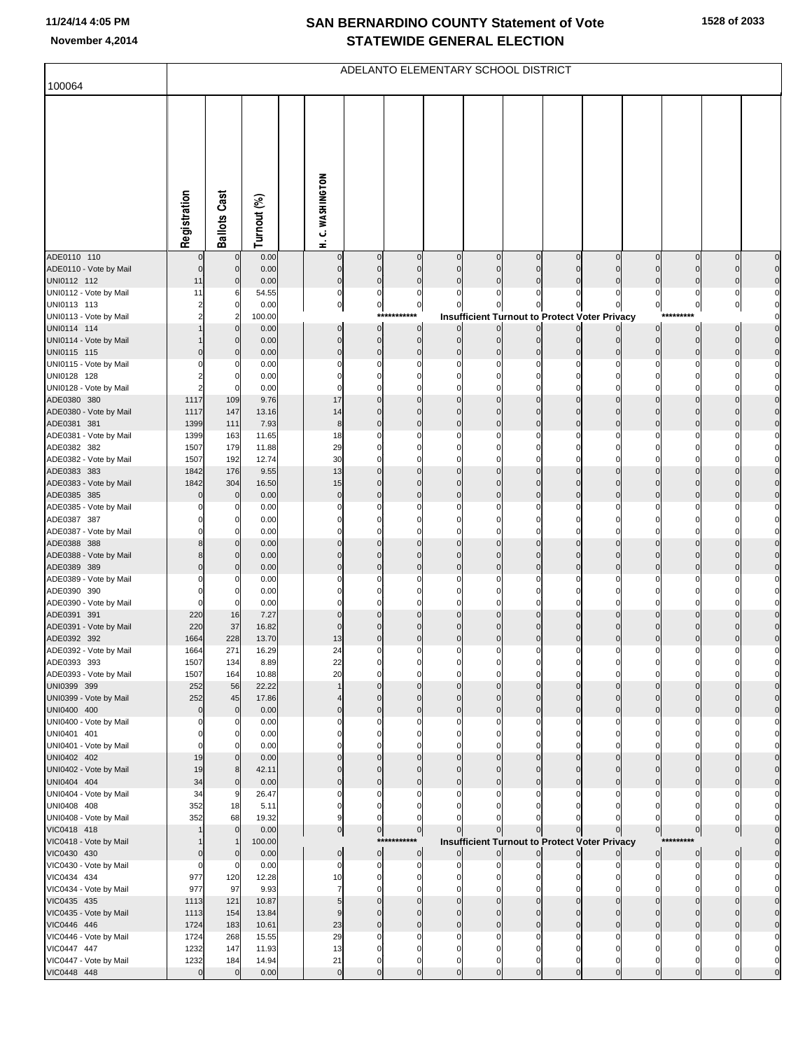## **SAN BERNARDINO COUNTY Statement of Vote November 4,2014 STATEWIDE GENERAL ELECTION**

| 100064                                |                  |                            |                |                             | ADELANTO ELEMENTARY SCHOOL DISTRICT |                            |                            |                            |                            |                            |                                                      |                            |                               |                                  |                                  |
|---------------------------------------|------------------|----------------------------|----------------|-----------------------------|-------------------------------------|----------------------------|----------------------------|----------------------------|----------------------------|----------------------------|------------------------------------------------------|----------------------------|-------------------------------|----------------------------------|----------------------------------|
|                                       |                  |                            |                |                             |                                     |                            |                            |                            |                            |                            |                                                      |                            |                               |                                  |                                  |
|                                       | Registration     | <b>Ballots Cast</b>        | Turnout (%)    | C. WASHINGTON<br>£          |                                     |                            |                            |                            |                            |                            |                                                      |                            |                               |                                  |                                  |
| ADE0110 110<br>ADE0110 - Vote by Mail | 0<br>$\mathbf 0$ | $\mathbf 0$<br>$\mathbf 0$ | 0.00<br>0.00   | $\overline{0}$<br>$\pmb{0}$ | $\pmb{0}$<br>$\bf{0}$               | $\mathbf 0$<br>$\mathbf 0$ | $\pmb{0}$<br>$\bf 0$       | $\mathbf 0$<br>$\mathbf 0$ | $\mathbf 0$<br>$\mathbf 0$ | $\mathbf 0$<br>$\mathbf 0$ | $\mathbf 0$<br>$\mathbf 0$                           | $\mathbf 0$<br>$\mathbf 0$ | $\overline{0}$<br>$\mathbf 0$ | $\overline{0}$<br>$\overline{0}$ | $\overline{0}$<br>$\overline{0}$ |
| UNI0112 112                           | 11               | 0                          | 0.00           | $\overline{0}$              | $\pmb{0}$                           | $\pmb{0}$                  | $\mathbf 0$                | $\mathbf 0$                | $\mathbf 0$                | $\mathbf 0$                | $\mathbf 0$                                          | $\mathbf 0$                | 0                             | $\overline{0}$                   | $\overline{0}$                   |
| UNI0112 - Vote by Mail                | 11               | 6                          | 54.55          | $\overline{0}$              | 0                                   | 0                          | $\Omega$                   | 0                          | C                          | 0                          | 0                                                    | 0                          | 0                             | $\mathbf 0$                      | $\overline{0}$                   |
| UNI0113 113                           | 2                | 0                          | 0.00           | $\mathbf{0}$                | $\circ$                             | $\pmb{0}$                  | $\mathbf 0$                | $\mathbf 0$                | $\Omega$                   | 0                          | $\mathbf{0}$                                         | $\mathbf 0$                | $\mathbf 0$                   | $\overline{0}$                   | $\circ$                          |
| UNI0113 - Vote by Mail<br>UNI0114 114 |                  | 2<br>0                     | 100.00         | $\overline{0}$              | ***<br>$\bf{0}$                     | ***<br>$\bf{0}$            | $\mathbf 0$                | $\overline{0}$             | $\pmb{0}$                  | $\overline{0}$             | <b>Insufficient Turnout to Protect Voter Privacy</b> | 0                          | $\overline{0}$                | $\overline{0}$                   | $\circ$<br>$\overline{0}$        |
| UNI0114 - Vote by Mail                |                  | 0                          | 0.00<br>0.00   | $\pmb{0}$                   | $\overline{0}$                      | $\pmb{0}$                  | $\mathbf 0$                | $\mathbf 0$                | $\mathbf 0$                | $\mathbf 0$                | $\mathbf 0$                                          | $\mathbf 0$                | $\overline{0}$                | $\overline{0}$                   | $\overline{0}$                   |
| UNI0115 115                           |                  | 0                          | 0.00           | $\pmb{0}$                   | $\pmb{0}$                           | $\mathbf 0$                | $\mathbf 0$                | $\mathbf 0$                | $\Omega$                   | 0                          | 0                                                    | $\Omega$                   | $\mathbf 0$                   | $\pmb{0}$                        | $\circ$                          |
| UNI0115 - Vote by Mail                |                  | 0                          | 0.00           | $\mathbf 0$                 | 0                                   | 0                          | 0                          | $\Omega$                   |                            | 0                          |                                                      |                            | 0                             | 0                                | $\overline{0}$                   |
| UNI0128 128                           |                  | 0                          | 0.00           | $\mathbf 0$                 | 0                                   | 0                          | 0                          | $\mathbf 0$                | 0                          | 0                          | 0                                                    |                            |                               | 0                                | $\mathbf{0}$                     |
| UNI0128 - Vote by Mail                |                  | -0<br>109                  | 0.00<br>9.76   | $\mathbf 0$<br>17           | 0<br>$\bf 0$                        | $\Omega$<br>$\mathbf 0$    | 0<br>$\mathbf 0$           | $\Omega$<br>$\mathbf 0$    | C<br>$\mathbf 0$           | $\Omega$<br>$\mathbf 0$    | $\mathbf 0$                                          | $\mathbf 0$                | $\mathbf 0$                   | $\pmb{0}$                        | $\overline{0}$<br>$\overline{0}$ |
| ADE0380 380<br>ADE0380 - Vote by Mail | 1117<br>1117     | 147                        | 13.16          | 14                          | $\mathbf 0$                         | $\mathbf 0$                | $\mathbf 0$                | $\Omega$                   | $\Omega$                   | $\mathbf 0$                | $\Omega$                                             | $\Omega$                   | $\Omega$                      | $\mathbf 0$                      | $\overline{0}$                   |
| ADE0381 381                           | 1399             | 111                        | 7.93           | $\bf8$                      | $\pmb{0}$                           | $\mathbf 0$                | $\mathbf 0$                | $\mathbf 0$                | $\mathbf 0$                | $\mathbf 0$                | 0                                                    | $\Omega$                   | $\Omega$                      | 0                                | $\overline{0}$                   |
| ADE0381 - Vote by Mail                | 1399             | 163                        | 11.65          | 18                          | 0                                   | 0                          | $\Omega$                   | 0                          | O                          | 0                          | 0                                                    |                            |                               | 0                                | $\overline{0}$                   |
| ADE0382 382                           | 1507             | 179                        | 11.88          | 29                          | $\bf{0}$                            | 0                          | $\Omega$                   | $\mathbf 0$                | $\Omega$                   | 0                          | $\Omega$                                             |                            |                               | 0                                | $\overline{0}$                   |
| ADE0382 - Vote by Mail                | 1507             | 192                        | 12.74          | 30<br>13                    | $\mathbf 0$<br>$\pmb{0}$            | $\Omega$<br>$\mathbf 0$    | $\Omega$<br>$\mathbf 0$    | $\Omega$<br>$\mathbf 0$    | $\Omega$<br>$\mathbf 0$    | $\Omega$<br>$\mathbf 0$    | 0<br>$\mathbf 0$                                     | ſ<br>$\mathbf 0$           | $\pmb{0}$                     | $\mathbf 0$                      | $\overline{0}$<br>$\overline{0}$ |
| ADE0383 383<br>ADE0383 - Vote by Mail | 1842<br>1842     | 176<br>304                 | 9.55<br>16.50  | 15                          | $\mathbf 0$                         | $\mathbf 0$                | $\mathbf 0$                | $\mathbf 0$                | $\mathbf 0$                | $\mathbf 0$                | 0                                                    | $\Omega$                   | $\mathbf{0}$                  | $\mathbf 0$                      | $\overline{0}$                   |
| ADE0385 385                           |                  | $\mathbf 0$                | 0.00           | $\overline{0}$              | $\bf 0$                             | $\mathbf 0$                | $\mathbf 0$                | $\mathbf 0$                | $\mathbf 0$                | $\mathbf 0$                | $\mathbf 0$                                          | $\mathbf 0$                | $\pmb{0}$                     | $\pmb{0}$                        | $\overline{0}$                   |
| ADE0385 - Vote by Mail                |                  | 0                          | 0.00           | $\mathbf 0$                 | 0                                   | 0                          |                            | $\Omega$                   |                            | $\Omega$                   |                                                      |                            |                               |                                  | $\overline{0}$                   |
| ADE0387 387                           |                  | 0                          | 0.00           | $\pmb{0}$                   | 0                                   | 0                          | 0                          | 0                          | 0                          | 0                          | 0                                                    |                            | 0                             | 0                                | $\overline{0}$                   |
| ADE0387 - Vote by Mail                |                  | 0                          | 0.00           | $\mathbf 0$                 | 0                                   | $\Omega$                   | $\Omega$                   | $\Omega$                   | $\Omega$                   | $\Omega$                   | 0                                                    |                            |                               |                                  | $\overline{0}$                   |
| ADE0388 388<br>ADE0388 - Vote by Mail | 8<br>8           | 0<br>0                     | 0.00<br>0.00   | $\pmb{0}$<br>$\mathbf 0$    | $\bf 0$<br>$\mathbf 0$              | $\mathbf 0$<br>$\mathbf 0$ | $\mathbf 0$<br>$\mathbf 0$ | $\mathbf 0$<br>$\mathbf 0$ | $\mathbf 0$<br>$\Omega$    | $\mathbf 0$<br>$\mathbf 0$ | $\mathbf 0$<br>$\Omega$                              | $\mathbf 0$<br>$\Omega$    | $\pmb{0}$<br>$\Omega$         | $\overline{0}$<br>0              | $\overline{0}$<br>$\overline{0}$ |
| ADE0389 389                           | $\Omega$         | 0                          | 0.00           | $\pmb{0}$                   | $\bf 0$                             | $\mathbf 0$                | $\mathbf 0$                | $\mathbf 0$                | $\mathbf 0$                | $\mathbf 0$                | $\mathbf 0$                                          | $\Omega$                   | $\Omega$                      | 0                                | $\overline{0}$                   |
| ADE0389 - Vote by Mail                |                  | 0                          | 0.00           | $\mathbf 0$                 | $\mathbf 0$                         | 0                          | $\Omega$                   | 0                          | C                          | 0                          | 0                                                    |                            |                               |                                  | $\overline{0}$                   |
| ADE0390 390                           |                  | 0                          | 0.00           | $\mathbf 0$                 | 0                                   | 0                          | 0                          | 0                          | 0                          | 0                          | 0                                                    |                            |                               |                                  | $\overline{0}$                   |
| ADE0390 - Vote by Mail<br>ADE0391 391 | $\Omega$<br>220  | 0<br>16                    | 0.00<br>7.27   | $\mathbf 0$<br>$\pmb{0}$    | 0<br>$\bf 0$                        | 0<br>$\mathbf 0$           | $\Omega$<br>$\mathbf 0$    | $\Omega$<br>$\mathbf 0$    | $\Omega$<br>$\mathbf 0$    | $\Omega$<br>$\mathbf 0$    | 0<br>0                                               | C<br>$\Omega$              | $\Omega$                      | 0<br>0                           | $\mathbf{0}$<br>$\circ$          |
| ADE0391 - Vote by Mail                | 220              | 37                         | 16.82          | $\pmb{0}$                   | $\mathbf 0$                         | $\mathbf 0$                | $\mathbf 0$                | $\mathbf 0$                | $\Omega$                   | $\mathbf 0$                | $\Omega$                                             | C                          | 0                             |                                  | $\circ$                          |
| ADE0392 392                           | 1664             | 228                        | 13.70          | 13                          | $\pmb{0}$                           | $\mathbf 0$                | $\mathbf 0$                | $\mathbf 0$                | $\mathbf 0$                | $\mathbf 0$                | $\mathbf 0$                                          | $\Omega$                   | $\Omega$                      | $\Omega$                         | $\overline{0}$                   |
| ADE0392 - Vote by Mail                | 1664             | 271                        | 16.29          | 24                          | 0                                   | 0                          | 0                          | $\Omega$                   | C                          | 0                          |                                                      |                            |                               |                                  | $\mathbf{0}$                     |
| ADE0393 393                           | 1507             | 134                        | 8.89           | 22                          | $\Omega$                            |                            |                            |                            |                            |                            |                                                      |                            |                               |                                  |                                  |
| ADE0393 - Vote by Mail<br>UNI0399 399 | 1507<br>252      | 164<br>56                  | 10.88<br>22.22 | 20                          | $\mathbf 0$                         | 0<br>$\mathbf 0$           | 0<br>$\mathbf 0$           | 0<br>$\mathbf 0$           | C<br>$\Omega$              | 0<br>$\mathbf 0$           | O<br>$\mathbf{0}$                                    | $\Omega$                   | O<br>$\mathbf 0$              | O<br>$\overline{0}$              |                                  |
| UNI0399 - Vote by Mail                | 252              | 45                         | 17.86          |                             | $\mathbf 0$                         | $\mathbf 0$                | $\Omega$                   | $\Omega$                   | $\Omega$                   | $\Omega$                   | $\Omega$                                             | $\Omega$                   | $\Omega$                      | $\mathbf 0$                      | 0                                |
| UNI0400 400                           | $\mathbf 0$      | $\mathbf 0$                | 0.00           | $\pmb{0}$                   | $\mathbf 0$                         | $\mathbf 0$                | $\mathbf 0$                | $\mathbf 0$                | $\mathbf 0$                | $\mathbf 0$                | $\mathbf 0$                                          | $\Omega$                   | $\mathbf 0$                   | $\mathbf 0$                      | $\overline{0}$                   |
| UNI0400 - Vote by Mail                | 0                | 0                          | 0.00           | $\mathbf 0$                 | $\Omega$                            | 0                          |                            | $\Omega$                   | C                          | $\Omega$                   | 0                                                    |                            |                               |                                  |                                  |
| UNI0401 401<br>UNI0401 - Vote by Mail | 0<br>$\Omega$    | 0                          | 0.00<br>0.00   | $\mathbf 0$<br>$\Omega$     | 0<br>$\Omega$                       | 0<br>O                     | 0                          | $\Omega$<br>$\Omega$       | 0                          | 0<br>0                     | 0                                                    |                            |                               |                                  |                                  |
| UNI0402 402                           | 19               | 0                          | 0.00           | $\pmb{0}$                   | $\mathbf 0$                         | $\mathbf 0$                | $\mathbf 0$                | $\Omega$                   | $\Omega$                   | 0                          | $\Omega$                                             | 0                          | $\Omega$                      | 0                                | $\overline{0}$                   |
| UNI0402 - Vote by Mail                | 19               | 8                          | 42.11          | $\mathbf 0$                 | $\mathbf 0$                         | $\mathbf 0$                | $\Omega$                   | $\Omega$                   | $\Omega$                   | $\Omega$                   | $\Omega$                                             | $\sqrt{ }$                 | $\Omega$                      | $\mathbf 0$                      | $\overline{0}$                   |
| UNI0404 404                           | 34               | $\mathbf 0$                | 0.00           | $\mathbf 0$                 | $\mathbf 0$                         | $\mathbf 0$                | $\Omega$                   | $\Omega$                   | $\Omega$                   | 0                          | 0                                                    |                            | $\Omega$                      | 0                                | $\overline{0}$                   |
| UNI0404 - Vote by Mail                | 34               | 9                          | 26.47          | $\mathbf 0$                 | 0                                   | 0                          |                            | $\Omega$                   |                            | 0                          |                                                      |                            |                               | 0                                |                                  |
| UNI0408 408<br>UNI0408 - Vote by Mail | 352<br>352       | 18<br>68                   | 5.11<br>19.32  | $\mathbf 0$<br>9            | 0<br>$\Omega$                       | $\Omega$<br>0              |                            | $\Omega$                   |                            | 0                          |                                                      |                            | O                             | 0<br>$\Omega$                    | $\mathbf{0}$                     |
| VIC0418 418                           |                  | $\mathbf 0$                | 0.00           | $\overline{0}$              | $\overline{0}$                      | $\pmb{0}$                  | $\mathbf 0$                | $\overline{0}$             | $\mathbf 0$                | $\mathbf 0$                | 0                                                    | $\mathbf 0$                | $\overline{0}$                | $\overline{0}$                   | $\overline{0}$                   |
| VIC0418 - Vote by Mail                |                  |                            | 100.00         |                             | ***                                 | *******                    |                            |                            |                            |                            | Insufficient Turnout to Protect Voter Privacy        |                            |                               |                                  | $\overline{0}$                   |
| VIC0430 430                           |                  | $\mathbf 0$                | 0.00           | $\overline{0}$              | $\overline{0}$                      | $\bf{0}$                   | $\Omega$                   | $\mathbf 0$                | $\mathbf{0}$               | $\mathbf 0$                |                                                      | $\mathbf 0$                | $\overline{0}$                | $\overline{0}$                   | $\overline{0}$                   |
| VIC0430 - Vote by Mail                | 0                | 0                          | 0.00           | $\mathbf 0$                 | 0                                   | 0                          |                            | $\Omega$                   |                            | $\Omega$                   |                                                      |                            | 0                             | 0                                | $\overline{0}$                   |
| VIC0434 434<br>VIC0434 - Vote by Mail | 977<br>977       | 120<br>97                  | 12.28<br>9.93  | 10<br>7                     | 0<br>$\mathbf 0$                    | 0<br>$\Omega$              | 0                          | 0<br>$\Omega$              | 0                          | 0<br>C                     | 0                                                    |                            | $\Omega$                      | 0                                | $\overline{0}$<br>$\overline{0}$ |
| VIC0435 435                           | 1113             | 121                        | 10.87          | $\overline{5}$              | $\mathbf 0$                         | $\mathbf 0$                | $\mathbf 0$                | $\Omega$                   | $\Omega$                   | $\mathbf 0$                | $\Omega$                                             | 0                          | $\Omega$                      | 0                                | $\overline{0}$                   |
| VIC0435 - Vote by Mail                | 1113             | 154                        | 13.84          | $\overline{9}$              | $\mathbf 0$                         | $\mathbf 0$                | $\Omega$                   | $\Omega$                   | $\Omega$                   | $\Omega$                   | $\Omega$                                             | $\sqrt{ }$                 | $\Omega$                      | $\mathbf{0}$                     | $\overline{0}$                   |
| VIC0446 446                           | 1724             | 183                        | 10.61          | 23                          | $\mathbf 0$                         | $\mathbf 0$                | $\mathbf 0$                | $\mathbf 0$                | $\Omega$                   | $\mathbf 0$                | $\Omega$                                             | C                          | $\Omega$                      | 0                                | $\overline{0}$                   |
| VIC0446 - Vote by Mail                | 1724             | 268                        | 15.55          | 29                          | 0                                   | 0                          | 0                          | $\Omega$                   |                            | 0                          |                                                      |                            |                               |                                  |                                  |
| VIC0447 447<br>VIC0447 - Vote by Mail | 1232<br>1232     | 147<br>184                 | 11.93<br>14.94 | 13<br>21                    | 0<br>0                              | 0<br>$\mathbf 0$           | $\Omega$<br>$\mathbf 0$    | 0<br>$\mathbf 0$           | 0<br>0                     | 0<br>0                     | 0<br>0                                               | 0                          | 0<br>0                        | 0<br>0                           | $\overline{0}$<br>$\overline{0}$ |
| VIC0448 448                           | $\mathbf 0$      | $\mathbf 0$                | 0.00           | $\pmb{0}$                   | $\bf 0$                             | $\mathbf 0$                | $\mathbf 0$                | $\mathbf 0$                | $\mathbf 0$                | $\mathbf 0$                | $\mathbf 0$                                          | $\Omega$                   | $\Omega$                      | $\mathbf 0$                      |                                  |